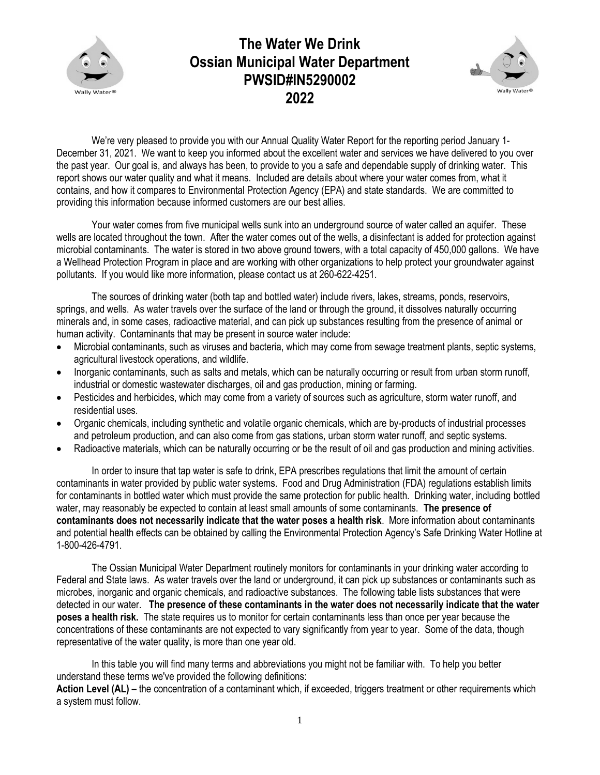

## **The Water We Drink Ossian Municipal Water Department PWSID#IN5290002 2022**



We're very pleased to provide you with our Annual Quality Water Report for the reporting period January 1-December 31, 2021. We want to keep you informed about the excellent water and services we have delivered to you over the past year. Our goal is, and always has been, to provide to you a safe and dependable supply of drinking water. This report shows our water quality and what it means. Included are details about where your water comes from, what it contains, and how it compares to Environmental Protection Agency (EPA) and state standards. We are committed to providing this information because informed customers are our best allies.

Your water comes from five municipal wells sunk into an underground source of water called an aquifer. These wells are located throughout the town. After the water comes out of the wells, a disinfectant is added for protection against microbial contaminants. The water is stored in two above ground towers, with a total capacity of 450,000 gallons. We have a Wellhead Protection Program in place and are working with other organizations to help protect your groundwater against pollutants. If you would like more information, please contact us at 260-622-4251.

The sources of drinking water (both tap and bottled water) include rivers, lakes, streams, ponds, reservoirs, springs, and wells. As water travels over the surface of the land or through the ground, it dissolves naturally occurring minerals and, in some cases, radioactive material, and can pick up substances resulting from the presence of animal or human activity. Contaminants that may be present in source water include:

- Microbial contaminants, such as viruses and bacteria, which may come from sewage treatment plants, septic systems, agricultural livestock operations, and wildlife.
- Inorganic contaminants, such as salts and metals, which can be naturally occurring or result from urban storm runoff, industrial or domestic wastewater discharges, oil and gas production, mining or farming.
- Pesticides and herbicides, which may come from a variety of sources such as agriculture, storm water runoff, and residential uses.
- Organic chemicals, including synthetic and volatile organic chemicals, which are by-products of industrial processes and petroleum production, and can also come from gas stations, urban storm water runoff, and septic systems.
- Radioactive materials, which can be naturally occurring or be the result of oil and gas production and mining activities.

In order to insure that tap water is safe to drink, EPA prescribes regulations that limit the amount of certain contaminants in water provided by public water systems. Food and Drug Administration (FDA) regulations establish limits for contaminants in bottled water which must provide the same protection for public health. Drinking water, including bottled water, may reasonably be expected to contain at least small amounts of some contaminants. **The presence of contaminants does not necessarily indicate that the water poses a health risk**. More information about contaminants and potential health effects can be obtained by calling the Environmental Protection Agency's Safe Drinking Water Hotline at 1-800-426-4791.

The Ossian Municipal Water Department routinely monitors for contaminants in your drinking water according to Federal and State laws.As water travels over the land or underground, it can pick up substances or contaminants such as microbes, inorganic and organic chemicals, and radioactive substances. The following table lists substances that were detected in our water. **The presence of these contaminants in the water does not necessarily indicate that the water poses a health risk.** The state requires us to monitor for certain contaminants less than once per year because the concentrations of these contaminants are not expected to vary significantly from year to year. Some of the data, though representative of the water quality, is more than one year old.

In this table you will find many terms and abbreviations you might not be familiar with. To help you better understand these terms we've provided the following definitions:

Action Level (AL) – the concentration of a contaminant which, if exceeded, triggers treatment or other requirements which a system must follow.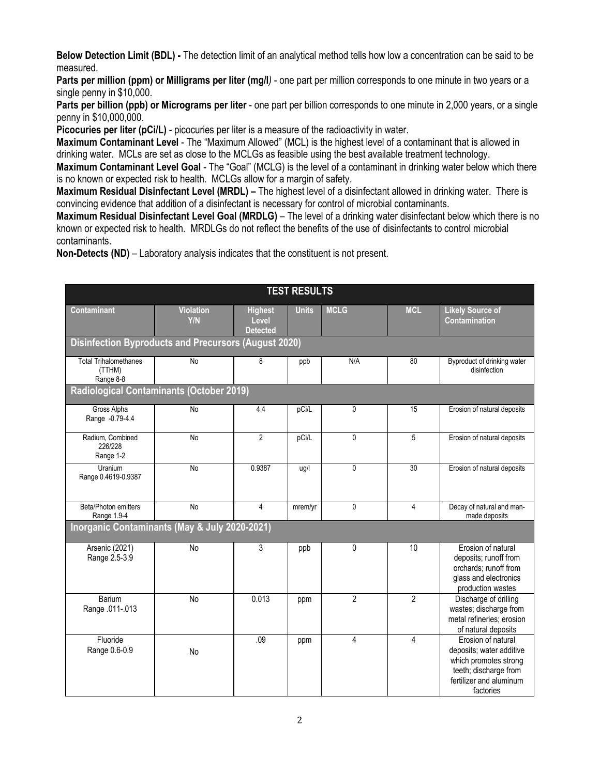**Below Detection Limit (BDL) -** The detection limit of an analytical method tells how low a concentration can be said to be measured.

**Parts per million (ppm) or Milligrams per liter (mg/l***)* - one part per million corresponds to one minute in two years or a single penny in \$10,000.

**Parts per billion (ppb) or Micrograms per liter** - one part per billion corresponds to one minute in 2,000 years, or a single penny in \$10,000,000.

**Picocuries per liter (pCi/L)** - picocuries per liter is a measure of the radioactivity in water.

**Maximum Contaminant Level** - The "Maximum Allowed" (MCL) is the highest level of a contaminant that is allowed in drinking water. MCLs are set as close to the MCLGs as feasible using the best available treatment technology.

**Maximum Contaminant Level Goal** - The "Goal" (MCLG) is the level of a contaminant in drinking water below which there is no known or expected risk to health. MCLGs allow for a margin of safety.

**Maximum Residual Disinfectant Level (MRDL) –** The highest level of a disinfectant allowed in drinking water. There is convincing evidence that addition of a disinfectant is necessary for control of microbial contaminants.

**Maximum Residual Disinfectant Level Goal (MRDLG)** – The level of a drinking water disinfectant below which there is no known or expected risk to health. MRDLGs do not reflect the benefits of the use of disinfectants to control microbial contaminants.

**Non-Detects (ND)** – Laboratory analysis indicates that the constituent is not present.

| <b>TEST RESULTS</b>                                         |                         |                                            |              |                |                |                                                                                                                                          |  |  |  |  |  |
|-------------------------------------------------------------|-------------------------|--------------------------------------------|--------------|----------------|----------------|------------------------------------------------------------------------------------------------------------------------------------------|--|--|--|--|--|
| <b>Contaminant</b>                                          | <b>Violation</b><br>Y/N | <b>Highest</b><br>Level<br><b>Detected</b> | <b>Units</b> | <b>MCLG</b>    | <b>MCL</b>     | <b>Likely Source of</b><br>Contamination                                                                                                 |  |  |  |  |  |
| <b>Disinfection Byproducts and Precursors (August 2020)</b> |                         |                                            |              |                |                |                                                                                                                                          |  |  |  |  |  |
| <b>Total Trihalomethanes</b><br>(TTHM)<br>Range 8-8         | No                      | 8                                          | ppb          | N/A            | 80             | Byproduct of drinking water<br>disinfection                                                                                              |  |  |  |  |  |
| <b>Radiological Contaminants (October 2019)</b>             |                         |                                            |              |                |                |                                                                                                                                          |  |  |  |  |  |
| Gross Alpha<br>Range -0.79-4.4                              | No                      | 4.4                                        | pCi/L        | 0              | 15             | Erosion of natural deposits                                                                                                              |  |  |  |  |  |
| Radium, Combined<br>226/228<br>Range 1-2                    | No                      | $\overline{2}$                             | pCi/L        | 0              | 5              | Erosion of natural deposits                                                                                                              |  |  |  |  |  |
| Uranium<br>Range 0.4619-0.9387                              | No                      | 0.9387                                     | ug/l         | 0              | 30             | Erosion of natural deposits                                                                                                              |  |  |  |  |  |
| Beta/Photon emitters<br>Range 1.9-4                         | $\overline{N}$          | $\overline{4}$                             | mrem/yr      | 0              | 4              | Decay of natural and man-<br>made deposits                                                                                               |  |  |  |  |  |
| Inorganic Contaminants (May & July 2020-2021)               |                         |                                            |              |                |                |                                                                                                                                          |  |  |  |  |  |
| Arsenic (2021)<br>Range 2.5-3.9                             | <b>No</b>               | 3                                          | ppb          | 0              | 10             | Erosion of natural<br>deposits; runoff from<br>orchards; runoff from<br>glass and electronics<br>production wastes                       |  |  |  |  |  |
| Barium<br>Range .011-.013                                   | <b>No</b>               | 0.013                                      | ppm          | $\overline{2}$ | $\overline{2}$ | Discharge of drilling<br>wastes; discharge from<br>metal refineries; erosion<br>of natural deposits                                      |  |  |  |  |  |
| Fluoride<br>Range 0.6-0.9                                   | <b>No</b>               | .09                                        | ppm          | 4              | 4              | Erosion of natural<br>deposits; water additive<br>which promotes strong<br>teeth; discharge from<br>fertilizer and aluminum<br>factories |  |  |  |  |  |